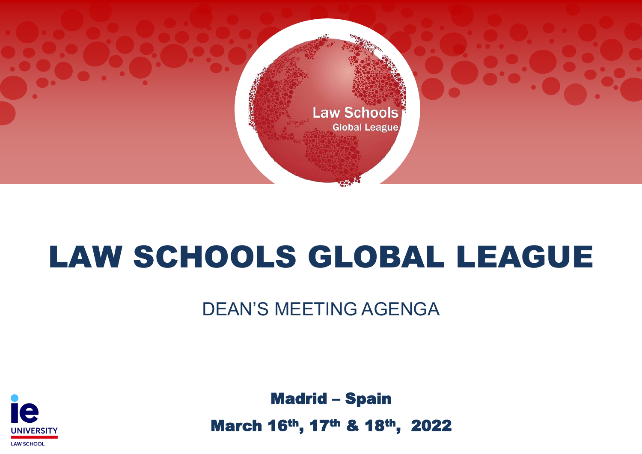

# LAW SCHOOLS GLOBAL LEAGUE

DEAN'S MEETING AGENGA



Madrid – Spain

March 16th, 17th & 18th, 2022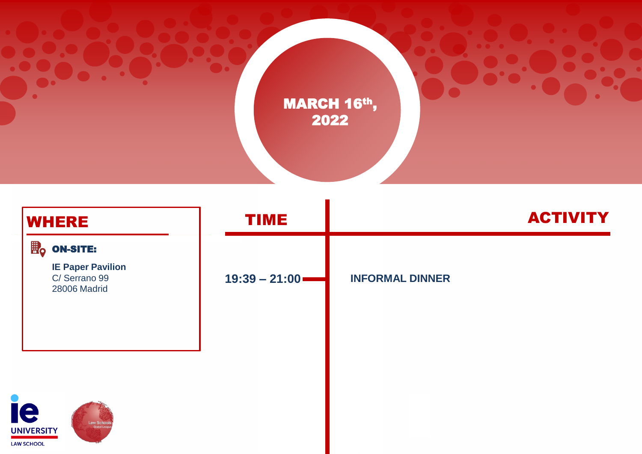

| <b>WHERE</b>                                 |                                                          | <b>TIME</b>     |                        | <b>ACTIVITY</b> |
|----------------------------------------------|----------------------------------------------------------|-----------------|------------------------|-----------------|
|                                              | $\mathbb{B}_{\mathsf{Q}}$ on-site:                       |                 |                        |                 |
|                                              | <b>IE Paper Pavilion</b><br>C/Serrano 99<br>28006 Madrid | $19:39 - 21:00$ | <b>INFORMAL DINNER</b> |                 |
|                                              |                                                          |                 |                        |                 |
| ie<br><b>UNIVERSITY</b><br><b>LAW SCHOOL</b> | <b>Law School:</b><br><b>Global Leagu</b>                |                 |                        |                 |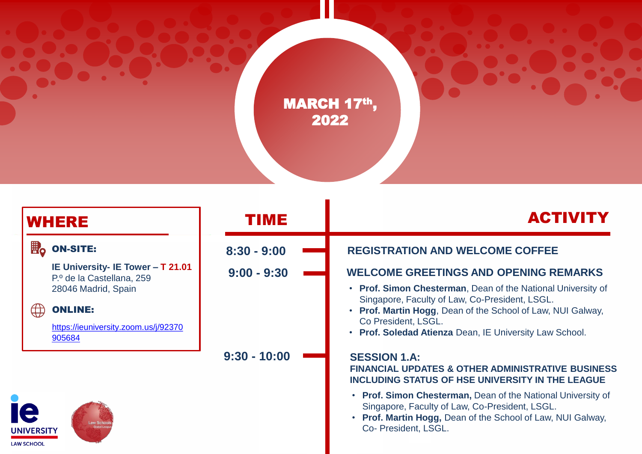

| <b>WHERE</b>                                 |                                                                                       | TIME           | <b>ACTIVITY</b>                                                                                                                                                                                            |  |
|----------------------------------------------|---------------------------------------------------------------------------------------|----------------|------------------------------------------------------------------------------------------------------------------------------------------------------------------------------------------------------------|--|
| $\mathbf{H}_{\mathbf{0}}$                    | <b>ON-SITE:</b>                                                                       | $8:30 - 9:00$  | <b>REGISTRATION AND WELCOME COFFEE</b>                                                                                                                                                                     |  |
|                                              | IE University- IE Tower - T 21.01<br>P.º de la Castellana, 259<br>28046 Madrid, Spain | $9:00 - 9:30$  | <b>WELCOME GREETINGS AND OPENING REMARKS</b><br>• Prof. Simon Chesterman, Dean of the National University of                                                                                               |  |
| ₩.                                           | <b>ONLINE:</b><br>https://ieuniversity.zoom.us/j/92370<br>905684                      |                | Singapore, Faculty of Law, Co-President, LSGL.<br>• Prof. Martin Hogg, Dean of the School of Law, NUI Galway,<br>Co President, LSGL.<br>• Prof. Soledad Atienza Dean, IE University Law School.            |  |
|                                              |                                                                                       | $9:30 - 10:00$ | <b>SESSION 1.A:</b><br><b>FINANCIAL UPDATES &amp; OTHER ADMINISTRATIVE BUSINESS</b><br><b>INCLUDING STATUS OF HSE UNIVERSITY IN THE LEAGUE</b>                                                             |  |
| Ie<br><b>UNIVERSITY</b><br><b>LAW SCHOOL</b> | Law Scho<br><b>Global Lea</b>                                                         |                | • Prof. Simon Chesterman, Dean of the National University of<br>Singapore, Faculty of Law, Co-President, LSGL.<br><b>Prof. Martin Hogg, Dean of the School of Law, NUI Galway,</b><br>Co- President, LSGL. |  |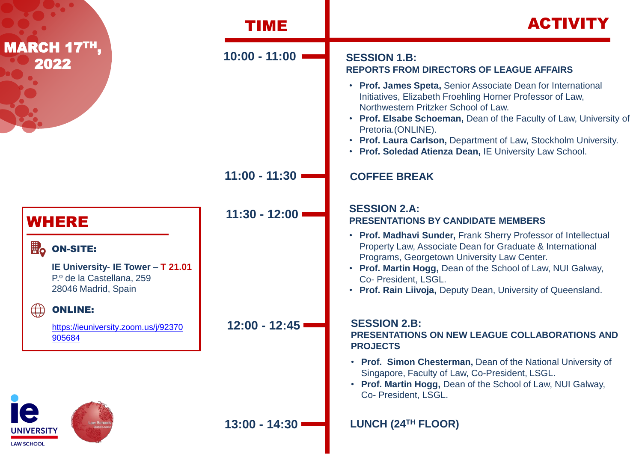|                                                                                                             | TIME            | <b>ACTIVITY</b>                                                                                                                                                                                                                                                                                                                                                                             |  |
|-------------------------------------------------------------------------------------------------------------|-----------------|---------------------------------------------------------------------------------------------------------------------------------------------------------------------------------------------------------------------------------------------------------------------------------------------------------------------------------------------------------------------------------------------|--|
| <b>ARCH 17TH,</b><br>2022                                                                                   | $10:00 - 11:00$ | <b>SESSION 1.B:</b><br><b>REPORTS FROM DIRECTORS OF LEAGUE AFFAIRS</b>                                                                                                                                                                                                                                                                                                                      |  |
|                                                                                                             |                 | • Prof. James Speta, Senior Associate Dean for International<br>Initiatives, Elizabeth Froehling Horner Professor of Law,<br>Northwestern Pritzker School of Law.<br>• Prof. Elsabe Schoeman, Dean of the Faculty of Law, University of<br>Pretoria.(ONLINE).<br>• Prof. Laura Carlson, Department of Law, Stockholm University.<br>• Prof. Soledad Atienza Dean, IE University Law School. |  |
|                                                                                                             | $11:00 - 11:30$ | <b>COFFEE BREAK</b>                                                                                                                                                                                                                                                                                                                                                                         |  |
| <b>WHERE</b>                                                                                                | $11:30 - 12:00$ | <b>SESSION 2.A:</b><br><b>PRESENTATIONS BY CANDIDATE MEMBERS</b>                                                                                                                                                                                                                                                                                                                            |  |
| <b>EO</b> ON-SITE:<br>IE University- IE Tower - T 21.01<br>P.º de la Castellana, 259<br>28046 Madrid, Spain |                 | • Prof. Madhavi Sunder, Frank Sherry Professor of Intellectual<br>Property Law, Associate Dean for Graduate & International<br>Programs, Georgetown University Law Center.<br>• Prof. Martin Hogg, Dean of the School of Law, NUI Galway,<br>Co- President, LSGL.<br>• Prof. Rain Liivoja, Deputy Dean, University of Queensland.                                                           |  |
| $\bigoplus$<br><b>ONLINE:</b><br>https://ieuniversity.zoom.us/j/92370<br>905684                             | $12:00 - 12:45$ | <b>SESSION 2.B:</b><br>PRESENTATIONS ON NEW LEAGUE COLLABORATIONS AND<br><b>PROJECTS</b>                                                                                                                                                                                                                                                                                                    |  |
|                                                                                                             |                 | • Prof. Simon Chesterman, Dean of the National University of<br>Singapore, Faculty of Law, Co-President, LSGL.<br>• Prof. Martin Hogg, Dean of the School of Law, NUI Galway,<br>Co- President, LSGL.                                                                                                                                                                                       |  |
| <b>INIVERSITY</b>                                                                                           | $13:00 - 14:30$ | LUNCH (24TH FLOOR)                                                                                                                                                                                                                                                                                                                                                                          |  |

L

M

п

**LAW SCHOOL**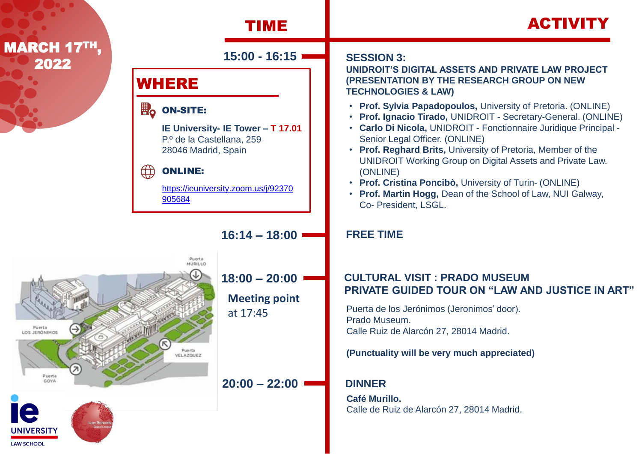

VELAZOUE2

Puerta LOS JERÓNIMOS

Puerta

**UNIVERSITY LAW SCHOOL** 

**UNIDROIT'S DIGITAL ASSETS AND PRIVATE LAW PROJECT (PRESENTATION BY THE RESEARCH GROUP ON NEW TECHNOLOGIES & LAW)** 

- **Prof. Sylvia Papadopoulos,** University of Pretoria. (ONLINE)
- **Prof. Ignacio Tirado,** UNIDROIT Secretary-General. (ONLINE)
- **Carlo Di Nicola,** UNIDROIT Fonctionnaire Juridique Principal Senior Legal Officer. (ONLINE)
- **Prof. Reghard Brits,** University of Pretoria, Member of the UNIDROIT Working Group on Digital Assets and Private Law. (ONLINE)
- **Prof. Cristina Poncibò,** University of Turin- (ONLINE)
- **Prof. Martin Hogg,** Dean of the School of Law, NUI Galway, Co- President, LSGL.

### **FREE TIME**

# **18:00 – 20:00 CULTURAL VISIT : PRADO MUSEUM PRIVATE GUIDED TOUR ON "LAW AND JUSTICE IN ART"**

at 17:45 Puerta de los Jerónimos (Jeronimos' door). Prado Museum. Calle Ruiz de Alarcón 27, 28014 Madrid.

### **(Punctuality will be very much appreciated)**

# **20:00 – 22:00 DINNER**

**Café Murillo.** Calle de Ruiz de Alarcón 27, 28014 Madrid.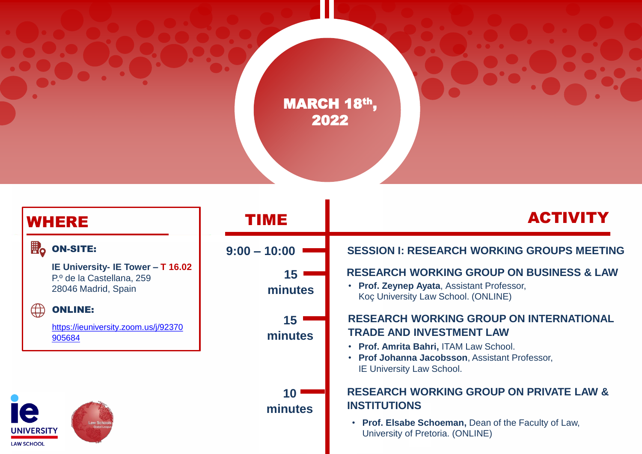

| <b>WHERE</b>                                                                          | TIME           | <b>ACTIVITY</b>                                                                                                                                                                                                   |  |
|---------------------------------------------------------------------------------------|----------------|-------------------------------------------------------------------------------------------------------------------------------------------------------------------------------------------------------------------|--|
| ■<br><b>ON-SITE:</b>                                                                  | $9:00 - 10:00$ | <b>SESSION I: RESEARCH WORKING GROUPS MEETING</b>                                                                                                                                                                 |  |
| IE University- IE Tower - T 16.02<br>P.º de la Castellana, 259<br>28046 Madrid, Spain | 15<br>minutes  | <b>RESEARCH WORKING GROUP ON BUSINESS &amp; LAW</b><br>• Prof. Zeynep Ayata, Assistant Professor,<br>Koç University Law School. (ONLINE)                                                                          |  |
| $\bigoplus$<br><b>ONLINE:</b><br>https://ieuniversity.zoom.us/j/92370<br>905684       | 15<br>minutes  | <b>RESEARCH WORKING GROUP ON INTERNATIONAL</b><br><b>TRADE AND INVESTMENT LAW</b><br>• Prof. Amrita Bahri, ITAM Law School.<br>• Prof Johanna Jacobsson, Assistant Professor,<br><b>IE University Law School.</b> |  |
| aw Schoo<br><b>JNIVERSITY</b><br><b>AW SCHOOL</b>                                     | 10<br>minutes  | <b>RESEARCH WORKING GROUP ON PRIVATE LAW &amp;</b><br><b>INSTITUTIONS</b><br>• Prof. Elsabe Schoeman, Dean of the Faculty of Law,<br>University of Pretoria. (ONLINE)                                             |  |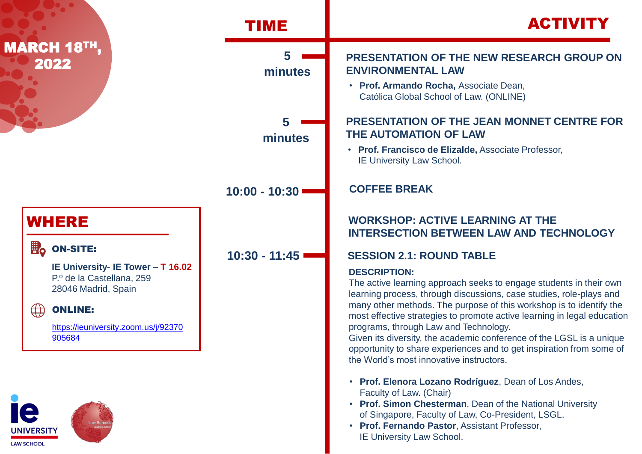

**JNIVERSITY LAW SCHOOL** 

• **Prof. Fernando Pastor**, Assistant Professor, IE University Law School.